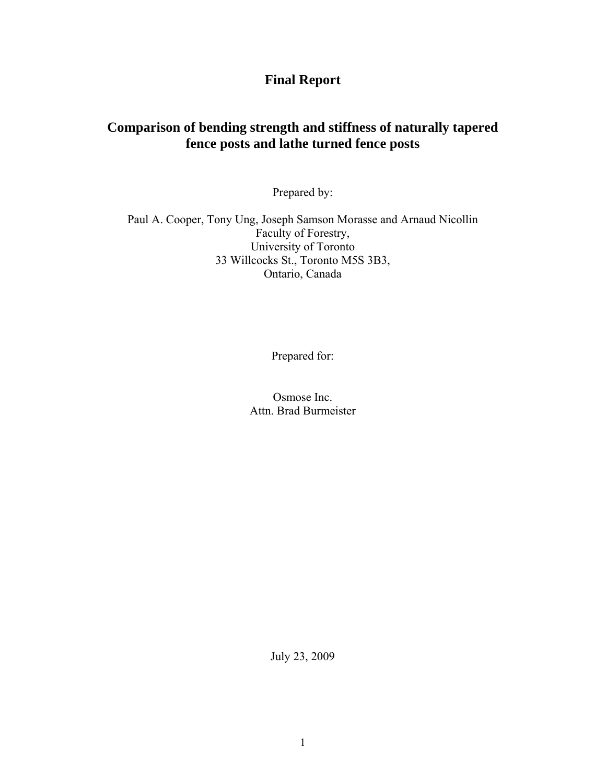# **Final Report**

# **Comparison of bending strength and stiffness of naturally tapered fence posts and lathe turned fence posts**

Prepared by:

Paul A. Cooper, Tony Ung, Joseph Samson Morasse and Arnaud Nicollin Faculty of Forestry, University of Toronto 33 Willcocks St., Toronto M5S 3B3, Ontario, Canada

Prepared for:

Osmose Inc. Attn. Brad Burmeister

July 23, 2009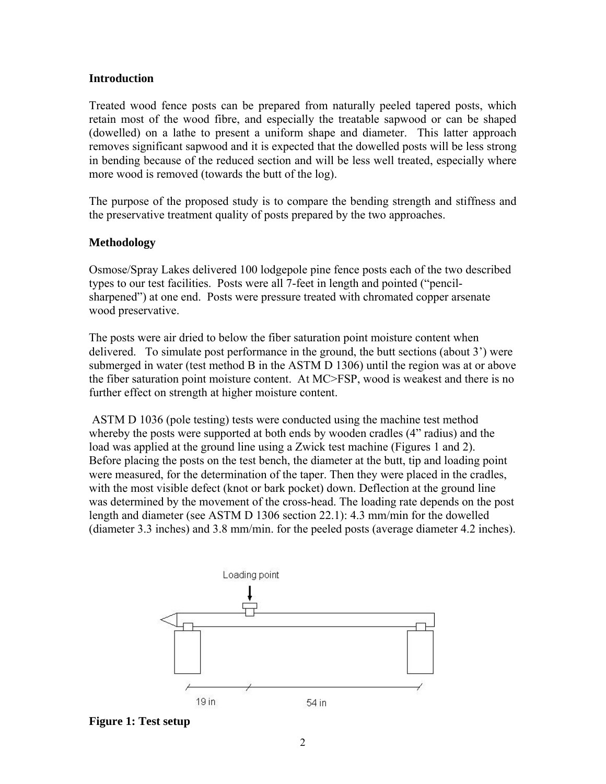#### **Introduction**

Treated wood fence posts can be prepared from naturally peeled tapered posts, which retain most of the wood fibre, and especially the treatable sapwood or can be shaped (dowelled) on a lathe to present a uniform shape and diameter. This latter approach removes significant sapwood and it is expected that the dowelled posts will be less strong in bending because of the reduced section and will be less well treated, especially where more wood is removed (towards the butt of the log).

The purpose of the proposed study is to compare the bending strength and stiffness and the preservative treatment quality of posts prepared by the two approaches.

### **Methodology**

Osmose/Spray Lakes delivered 100 lodgepole pine fence posts each of the two described types to our test facilities. Posts were all 7-feet in length and pointed ("pencilsharpened") at one end. Posts were pressure treated with chromated copper arsenate wood preservative.

The posts were air dried to below the fiber saturation point moisture content when delivered. To simulate post performance in the ground, the butt sections (about 3') were submerged in water (test method B in the ASTM D 1306) until the region was at or above the fiber saturation point moisture content. At MC>FSP, wood is weakest and there is no further effect on strength at higher moisture content.

 ASTM D 1036 (pole testing) tests were conducted using the machine test method whereby the posts were supported at both ends by wooden cradles (4" radius) and the load was applied at the ground line using a Zwick test machine (Figures 1 and 2). Before placing the posts on the test bench, the diameter at the butt, tip and loading point were measured, for the determination of the taper. Then they were placed in the cradles, with the most visible defect (knot or bark pocket) down. Deflection at the ground line was determined by the movement of the cross-head. The loading rate depends on the post length and diameter (see ASTM D 1306 section 22.1): 4.3 mm/min for the dowelled (diameter 3.3 inches) and 3.8 mm/min. for the peeled posts (average diameter 4.2 inches).



**Figure 1: Test setup**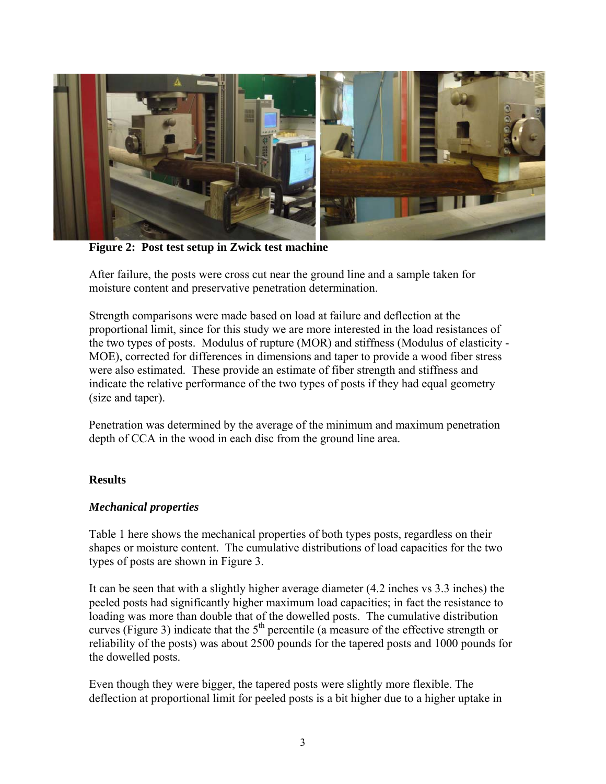

**Figure 2: Post test setup in Zwick test machine** 

After failure, the posts were cross cut near the ground line and a sample taken for moisture content and preservative penetration determination.

Strength comparisons were made based on load at failure and deflection at the proportional limit, since for this study we are more interested in the load resistances of the two types of posts. Modulus of rupture (MOR) and stiffness (Modulus of elasticity - MOE), corrected for differences in dimensions and taper to provide a wood fiber stress were also estimated. These provide an estimate of fiber strength and stiffness and indicate the relative performance of the two types of posts if they had equal geometry (size and taper).

Penetration was determined by the average of the minimum and maximum penetration depth of CCA in the wood in each disc from the ground line area.

### **Results**

## *Mechanical properties*

Table 1 here shows the mechanical properties of both types posts, regardless on their shapes or moisture content. The cumulative distributions of load capacities for the two types of posts are shown in Figure 3.

It can be seen that with a slightly higher average diameter (4.2 inches vs 3.3 inches) the peeled posts had significantly higher maximum load capacities; in fact the resistance to loading was more than double that of the dowelled posts. The cumulative distribution curves (Figure 3) indicate that the  $5<sup>th</sup>$  percentile (a measure of the effective strength or reliability of the posts) was about 2500 pounds for the tapered posts and 1000 pounds for the dowelled posts.

Even though they were bigger, the tapered posts were slightly more flexible. The deflection at proportional limit for peeled posts is a bit higher due to a higher uptake in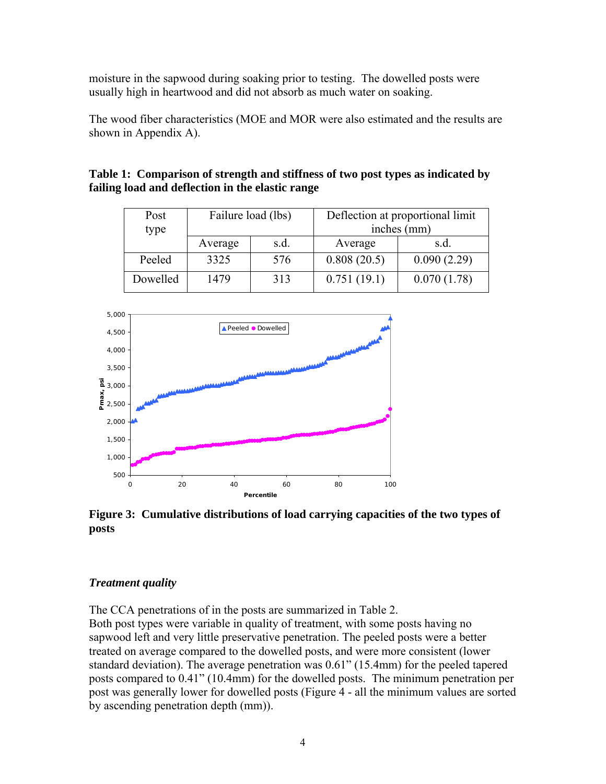moisture in the sapwood during soaking prior to testing. The dowelled posts were usually high in heartwood and did not absorb as much water on soaking.

The wood fiber characteristics (MOE and MOR were also estimated and the results are shown in Appendix A).

| Table 1: Comparison of strength and stiffness of two post types as indicated by |
|---------------------------------------------------------------------------------|
| failing load and deflection in the elastic range                                |

| Post<br>type | Failure load (lbs) |      | Deflection at proportional limit<br>inches (mm) |             |  |  |
|--------------|--------------------|------|-------------------------------------------------|-------------|--|--|
|              | Average            | s.d. | Average                                         | s.d.        |  |  |
| Peeled       | 3325               | 576  | 0.808(20.5)                                     | 0.090(2.29) |  |  |
| Dowelled     | 1479               | 313  | 0.751(19.1)                                     | 0.070(1.78) |  |  |



**Figure 3: Cumulative distributions of load carrying capacities of the two types of posts** 

## *Treatment quality*

The CCA penetrations of in the posts are summarized in Table 2. Both post types were variable in quality of treatment, with some posts having no sapwood left and very little preservative penetration. The peeled posts were a better treated on average compared to the dowelled posts, and were more consistent (lower standard deviation). The average penetration was 0.61" (15.4mm) for the peeled tapered posts compared to 0.41" (10.4mm) for the dowelled posts. The minimum penetration per post was generally lower for dowelled posts (Figure 4 - all the minimum values are sorted by ascending penetration depth (mm)).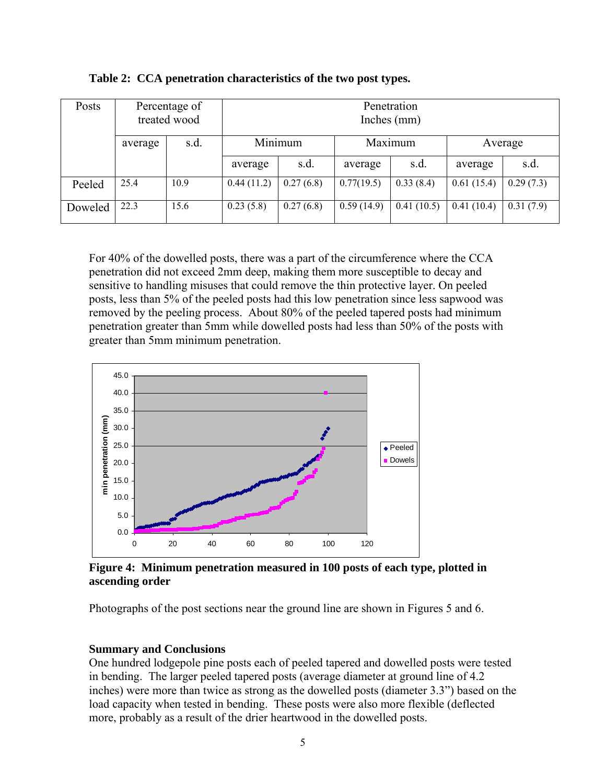| Posts   | Percentage of<br>treated wood |      | Penetration<br>Inches (mm) |           |            |            |            |           |
|---------|-------------------------------|------|----------------------------|-----------|------------|------------|------------|-----------|
|         | average                       | s.d. | Minimum                    |           | Maximum    |            | Average    |           |
|         |                               |      | average                    | s.d.      | average    | s.d.       | average    | s.d.      |
| Peeled  | 25.4                          | 10.9 | 0.44(11.2)                 | 0.27(6.8) | 0.77(19.5) | 0.33(8.4)  | 0.61(15.4) | 0.29(7.3) |
| Doweled | 22.3                          | 15.6 | 0.23(5.8)                  | 0.27(6.8) | 0.59(14.9) | 0.41(10.5) | 0.41(10.4) | 0.31(7.9) |

**Table 2: CCA penetration characteristics of the two post types.** 

For 40% of the dowelled posts, there was a part of the circumference where the CCA penetration did not exceed 2mm deep, making them more susceptible to decay and sensitive to handling misuses that could remove the thin protective layer. On peeled posts, less than 5% of the peeled posts had this low penetration since less sapwood was removed by the peeling process. About 80% of the peeled tapered posts had minimum penetration greater than 5mm while dowelled posts had less than 50% of the posts with greater than 5mm minimum penetration.



**Figure 4: Minimum penetration measured in 100 posts of each type, plotted in ascending order** 

Photographs of the post sections near the ground line are shown in Figures 5 and 6.

## **Summary and Conclusions**

One hundred lodgepole pine posts each of peeled tapered and dowelled posts were tested in bending. The larger peeled tapered posts (average diameter at ground line of 4.2 inches) were more than twice as strong as the dowelled posts (diameter 3.3") based on the load capacity when tested in bending. These posts were also more flexible (deflected more, probably as a result of the drier heartwood in the dowelled posts.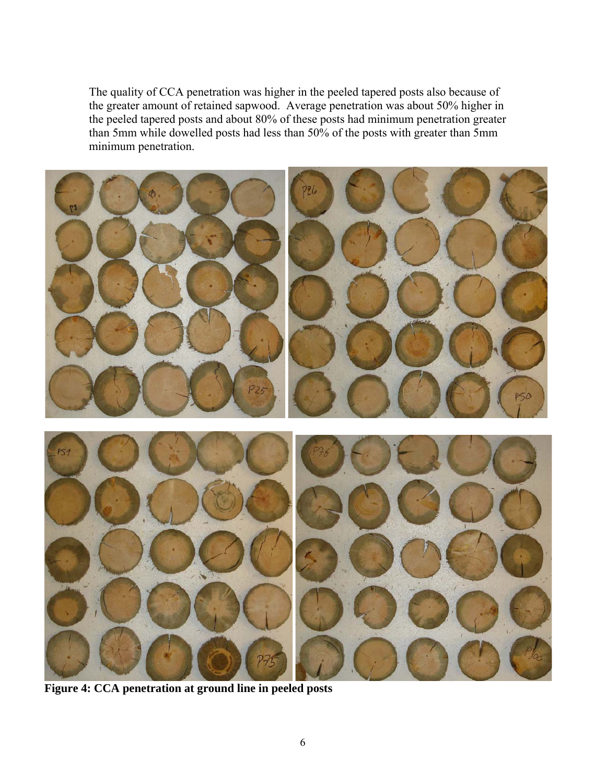The quality of CCA penetration was higher in the peeled tapered posts also because of the greater amount of retained sapwood. Average penetration was about 50% higher in the peeled tapered posts and about 80% of these posts had minimum penetration greater than 5mm while dowelled posts had less than 50% of the posts with greater than 5mm minimum penetration.



**Figure 4: CCA penetration at ground line in peeled posts**